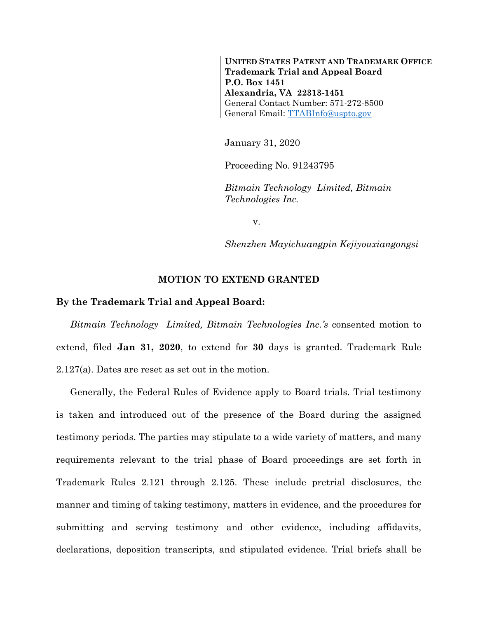**UNITED STATES PATENT AND TRADEMARK OFFICE Trademark Trial and Appeal Board P.O. Box 1451 Alexandria, VA 22313-1451** General Contact Number: 571-272-8500 General Email: [TTABInfo@uspto.gov](mailto:TTABInfo@uspto.gov)

January 31, 2020

Proceeding No. 91243795

*Bitmain Technology Limited, Bitmain Technologies Inc.*

v.

*Shenzhen Mayichuangpin Kejiyouxiangongsi*

## **MOTION TO EXTEND GRANTED**

## **By the Trademark Trial and Appeal Board:**

*Bitmain Technology Limited, Bitmain Technologies Inc.'s* consented motion to extend, filed **Jan 31, 2020**, to extend for **30** days is granted. Trademark Rule 2.127(a). Dates are reset as set out in the motion.

Generally, the Federal Rules of Evidence apply to Board trials. Trial testimony is taken and introduced out of the presence of the Board during the assigned testimony periods. The parties may stipulate to a wide variety of matters, and many requirements relevant to the trial phase of Board proceedings are set forth in Trademark Rules 2.121 through 2.125. These include pretrial disclosures, the manner and timing of taking testimony, matters in evidence, and the procedures for submitting and serving testimony and other evidence, including affidavits, declarations, deposition transcripts, and stipulated evidence. Trial briefs shall be